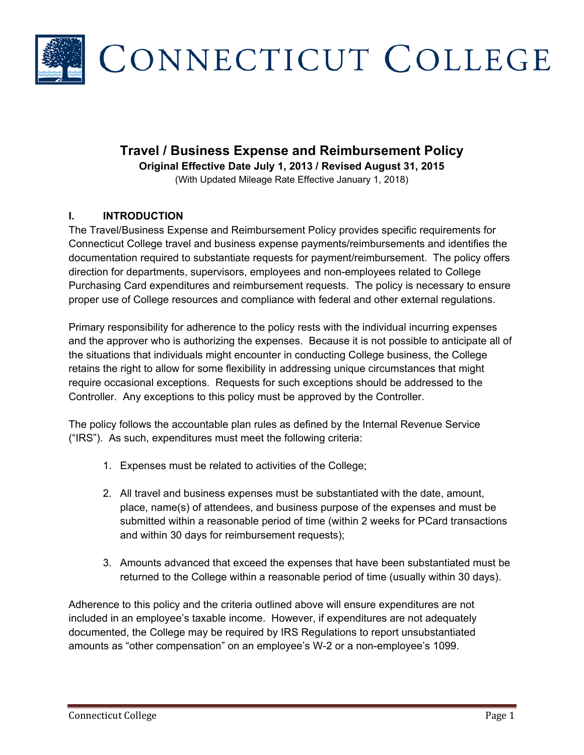

# **Travel / Business Expense and Reimbursement Policy**

**Original Effective Date July 1, 2013 / Revised August 31, 2015** 

(With Updated Mileage Rate Effective January 1, 2018)

#### **I. INTRODUCTION**

The Travel/Business Expense and Reimbursement Policy provides specific requirements for Connecticut College travel and business expense payments/reimbursements and identifies the documentation required to substantiate requests for payment/reimbursement. The policy offers direction for departments, supervisors, employees and non-employees related to College Purchasing Card expenditures and reimbursement requests. The policy is necessary to ensure proper use of College resources and compliance with federal and other external regulations.

Primary responsibility for adherence to the policy rests with the individual incurring expenses and the approver who is authorizing the expenses. Because it is not possible to anticipate all of the situations that individuals might encounter in conducting College business, the College retains the right to allow for some flexibility in addressing unique circumstances that might require occasional exceptions. Requests for such exceptions should be addressed to the Controller. Any exceptions to this policy must be approved by the Controller.

The policy follows the accountable plan rules as defined by the Internal Revenue Service ("IRS"). As such, expenditures must meet the following criteria:

- 1. Expenses must be related to activities of the College;
- 2. All travel and business expenses must be substantiated with the date, amount, place, name(s) of attendees, and business purpose of the expenses and must be submitted within a reasonable period of time (within 2 weeks for PCard transactions and within 30 days for reimbursement requests);
- 3. Amounts advanced that exceed the expenses that have been substantiated must be returned to the College within a reasonable period of time (usually within 30 days).

Adherence to this policy and the criteria outlined above will ensure expenditures are not included in an employee's taxable income. However, if expenditures are not adequately documented, the College may be required by IRS Regulations to report unsubstantiated amounts as "other compensation" on an employee's W-2 or a non-employee's 1099.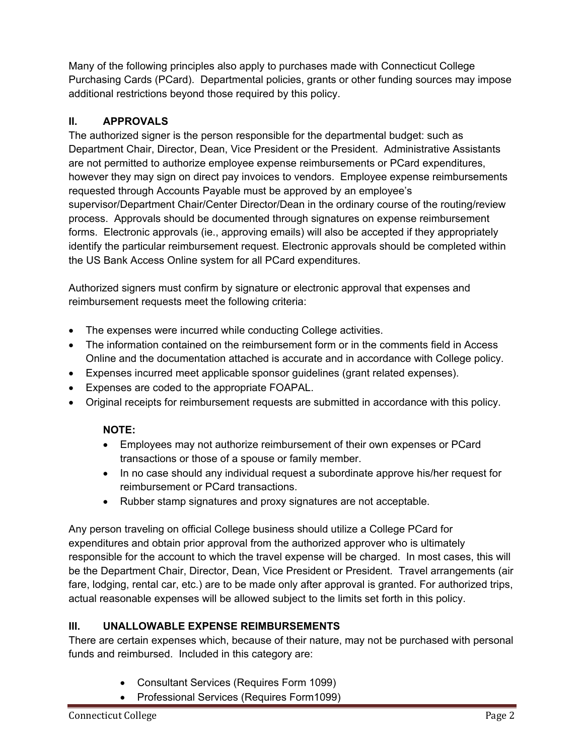Many of the following principles also apply to purchases made with Connecticut College Purchasing Cards (PCard). Departmental policies, grants or other funding sources may impose additional restrictions beyond those required by this policy.

# **II. APPROVALS**

The authorized signer is the person responsible for the departmental budget: such as Department Chair, Director, Dean, Vice President or the President. Administrative Assistants are not permitted to authorize employee expense reimbursements or PCard expenditures, however they may sign on direct pay invoices to vendors. Employee expense reimbursements requested through Accounts Payable must be approved by an employee's supervisor/Department Chair/Center Director/Dean in the ordinary course of the routing/review process. Approvals should be documented through signatures on expense reimbursement forms. Electronic approvals (ie., approving emails) will also be accepted if they appropriately identify the particular reimbursement request. Electronic approvals should be completed within the US Bank Access Online system for all PCard expenditures.

Authorized signers must confirm by signature or electronic approval that expenses and reimbursement requests meet the following criteria:

- The expenses were incurred while conducting College activities.
- The information contained on the reimbursement form or in the comments field in Access Online and the documentation attached is accurate and in accordance with College policy.
- Expenses incurred meet applicable sponsor guidelines (grant related expenses).
- Expenses are coded to the appropriate FOAPAL.
- Original receipts for reimbursement requests are submitted in accordance with this policy.

## **NOTE:**

- Employees may not authorize reimbursement of their own expenses or PCard transactions or those of a spouse or family member.
- In no case should any individual request a subordinate approve his/her request for reimbursement or PCard transactions.
- Rubber stamp signatures and proxy signatures are not acceptable.

Any person traveling on official College business should utilize a College PCard for expenditures and obtain prior approval from the authorized approver who is ultimately responsible for the account to which the travel expense will be charged. In most cases, this will be the Department Chair, Director, Dean, Vice President or President. Travel arrangements (air fare, lodging, rental car, etc.) are to be made only after approval is granted. For authorized trips, actual reasonable expenses will be allowed subject to the limits set forth in this policy.

## **III. UNALLOWABLE EXPENSE REIMBURSEMENTS**

There are certain expenses which, because of their nature, may not be purchased with personal funds and reimbursed. Included in this category are:

- Consultant Services (Requires Form 1099)
- Professional Services (Requires Form1099)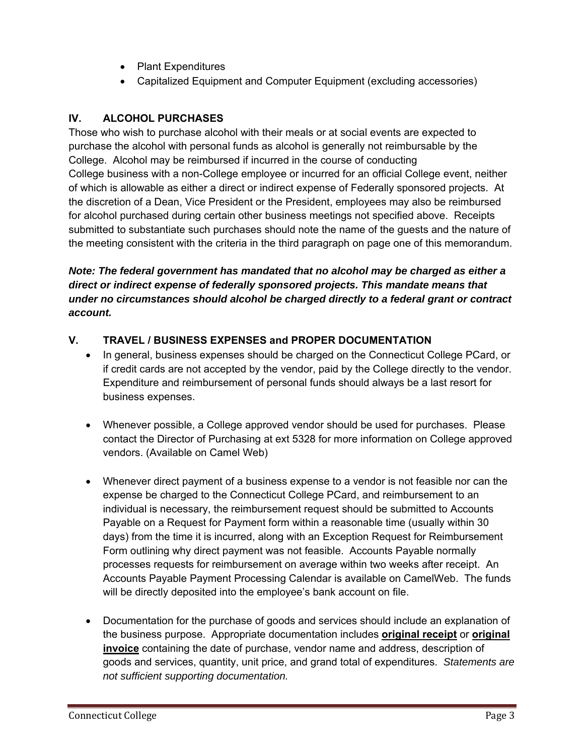- Plant Expenditures
- Capitalized Equipment and Computer Equipment (excluding accessories)

### **IV. ALCOHOL PURCHASES**

Those who wish to purchase alcohol with their meals or at social events are expected to purchase the alcohol with personal funds as alcohol is generally not reimbursable by the College. Alcohol may be reimbursed if incurred in the course of conducting College business with a non-College employee or incurred for an official College event, neither of which is allowable as either a direct or indirect expense of Federally sponsored projects. At the discretion of a Dean, Vice President or the President, employees may also be reimbursed for alcohol purchased during certain other business meetings not specified above. Receipts submitted to substantiate such purchases should note the name of the guests and the nature of the meeting consistent with the criteria in the third paragraph on page one of this memorandum.

*Note: The federal government has mandated that no alcohol may be charged as either a direct or indirect expense of federally sponsored projects. This mandate means that under no circumstances should alcohol be charged directly to a federal grant or contract account.* 

## **V. TRAVEL / BUSINESS EXPENSES and PROPER DOCUMENTATION**

- In general, business expenses should be charged on the Connecticut College PCard, or if credit cards are not accepted by the vendor, paid by the College directly to the vendor. Expenditure and reimbursement of personal funds should always be a last resort for business expenses.
- Whenever possible, a College approved vendor should be used for purchases. Please contact the Director of Purchasing at ext 5328 for more information on College approved vendors. (Available on Camel Web)
- Whenever direct payment of a business expense to a vendor is not feasible nor can the expense be charged to the Connecticut College PCard, and reimbursement to an individual is necessary, the reimbursement request should be submitted to Accounts Payable on a Request for Payment form within a reasonable time (usually within 30 days) from the time it is incurred, along with an Exception Request for Reimbursement Form outlining why direct payment was not feasible. Accounts Payable normally processes requests for reimbursement on average within two weeks after receipt. An Accounts Payable Payment Processing Calendar is available on CamelWeb. The funds will be directly deposited into the employee's bank account on file.
- Documentation for the purchase of goods and services should include an explanation of the business purpose. Appropriate documentation includes **original receipt** or **original invoice** containing the date of purchase, vendor name and address, description of goods and services, quantity, unit price, and grand total of expenditures. *Statements are not sufficient supporting documentation.*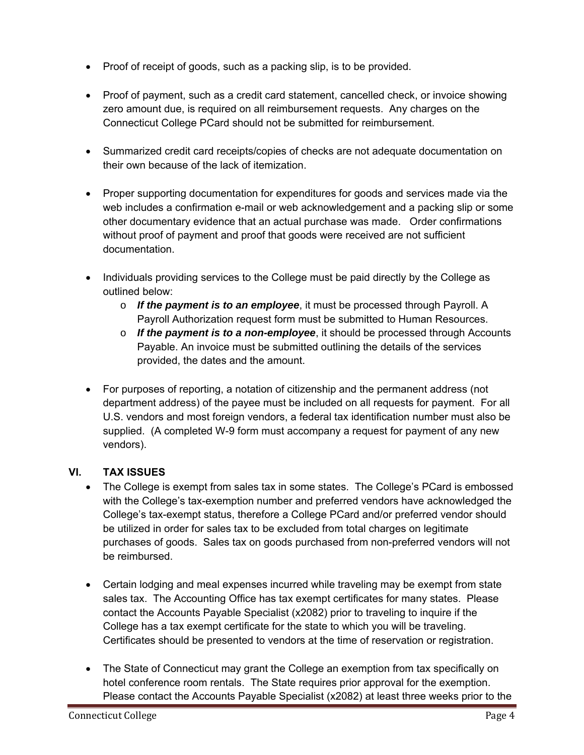- Proof of receipt of goods, such as a packing slip, is to be provided.
- Proof of payment, such as a credit card statement, cancelled check, or invoice showing zero amount due, is required on all reimbursement requests. Any charges on the Connecticut College PCard should not be submitted for reimbursement.
- Summarized credit card receipts/copies of checks are not adequate documentation on their own because of the lack of itemization.
- Proper supporting documentation for expenditures for goods and services made via the web includes a confirmation e-mail or web acknowledgement and a packing slip or some other documentary evidence that an actual purchase was made. Order confirmations without proof of payment and proof that goods were received are not sufficient documentation.
- Individuals providing services to the College must be paid directly by the College as outlined below:
	- o *If the payment is to an employee*, it must be processed through Payroll. A Payroll Authorization request form must be submitted to Human Resources.
	- o *If the payment is to a non-employee*, it should be processed through Accounts Payable. An invoice must be submitted outlining the details of the services provided, the dates and the amount.
- For purposes of reporting, a notation of citizenship and the permanent address (not department address) of the payee must be included on all requests for payment. For all U.S. vendors and most foreign vendors, a federal tax identification number must also be supplied. (A completed W-9 form must accompany a request for payment of any new vendors).

# **VI. TAX ISSUES**

- The College is exempt from sales tax in some states. The College's PCard is embossed with the College's tax-exemption number and preferred vendors have acknowledged the College's tax-exempt status, therefore a College PCard and/or preferred vendor should be utilized in order for sales tax to be excluded from total charges on legitimate purchases of goods. Sales tax on goods purchased from non-preferred vendors will not be reimbursed.
- Certain lodging and meal expenses incurred while traveling may be exempt from state sales tax. The Accounting Office has tax exempt certificates for many states. Please contact the Accounts Payable Specialist (x2082) prior to traveling to inquire if the College has a tax exempt certificate for the state to which you will be traveling. Certificates should be presented to vendors at the time of reservation or registration.
- The State of Connecticut may grant the College an exemption from tax specifically on hotel conference room rentals. The State requires prior approval for the exemption. Please contact the Accounts Payable Specialist (x2082) at least three weeks prior to the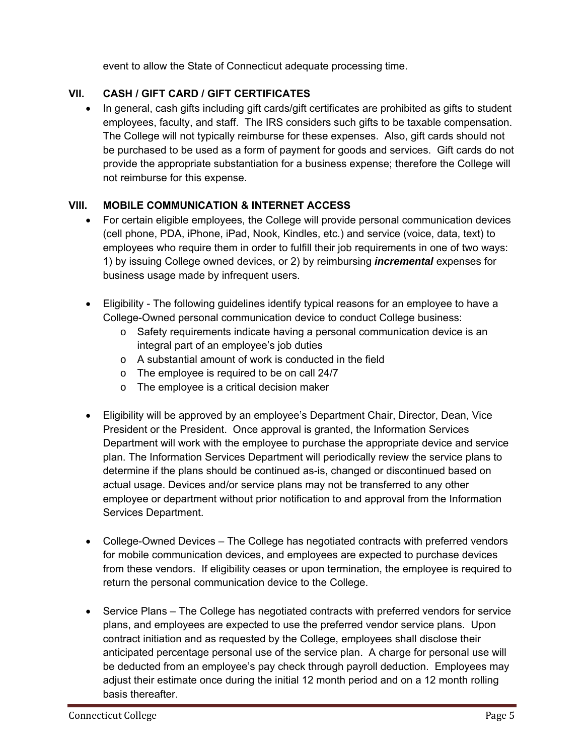event to allow the State of Connecticut adequate processing time.

## **VII. CASH / GIFT CARD / GIFT CERTIFICATES**

 In general, cash gifts including gift cards/gift certificates are prohibited as gifts to student employees, faculty, and staff. The IRS considers such gifts to be taxable compensation. The College will not typically reimburse for these expenses. Also, gift cards should not be purchased to be used as a form of payment for goods and services. Gift cards do not provide the appropriate substantiation for a business expense; therefore the College will not reimburse for this expense.

#### **VIII. MOBILE COMMUNICATION & INTERNET ACCESS**

- For certain eligible employees, the College will provide personal communication devices (cell phone, PDA, iPhone, iPad, Nook, Kindles, etc.) and service (voice, data, text) to employees who require them in order to fulfill their job requirements in one of two ways: 1) by issuing College owned devices, or 2) by reimbursing *incremental* expenses for business usage made by infrequent users.
- Eligibility The following guidelines identify typical reasons for an employee to have a College-Owned personal communication device to conduct College business:
	- $\circ$  Safety requirements indicate having a personal communication device is an integral part of an employee's job duties
	- o A substantial amount of work is conducted in the field
	- o The employee is required to be on call 24/7
	- o The employee is a critical decision maker
- Eligibility will be approved by an employee's Department Chair, Director, Dean, Vice President or the President. Once approval is granted, the Information Services Department will work with the employee to purchase the appropriate device and service plan. The Information Services Department will periodically review the service plans to determine if the plans should be continued as-is, changed or discontinued based on actual usage. Devices and/or service plans may not be transferred to any other employee or department without prior notification to and approval from the Information Services Department.
- College-Owned Devices The College has negotiated contracts with preferred vendors for mobile communication devices, and employees are expected to purchase devices from these vendors. If eligibility ceases or upon termination, the employee is required to return the personal communication device to the College.
- Service Plans The College has negotiated contracts with preferred vendors for service plans, and employees are expected to use the preferred vendor service plans. Upon contract initiation and as requested by the College, employees shall disclose their anticipated percentage personal use of the service plan. A charge for personal use will be deducted from an employee's pay check through payroll deduction. Employees may adjust their estimate once during the initial 12 month period and on a 12 month rolling basis thereafter.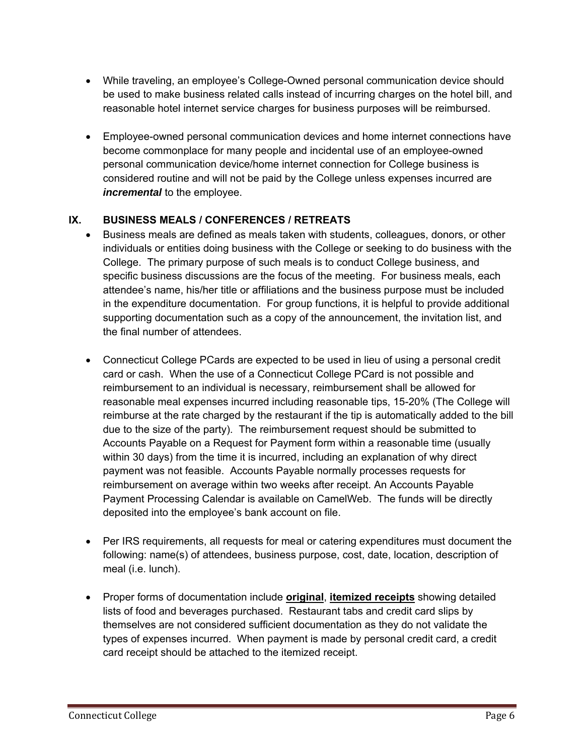- While traveling, an employee's College-Owned personal communication device should be used to make business related calls instead of incurring charges on the hotel bill, and reasonable hotel internet service charges for business purposes will be reimbursed.
- Employee-owned personal communication devices and home internet connections have become commonplace for many people and incidental use of an employee-owned personal communication device/home internet connection for College business is considered routine and will not be paid by the College unless expenses incurred are *incremental* to the employee.

## **IX. BUSINESS MEALS / CONFERENCES / RETREATS**

- Business meals are defined as meals taken with students, colleagues, donors, or other individuals or entities doing business with the College or seeking to do business with the College. The primary purpose of such meals is to conduct College business, and specific business discussions are the focus of the meeting. For business meals, each attendee's name, his/her title or affiliations and the business purpose must be included in the expenditure documentation. For group functions, it is helpful to provide additional supporting documentation such as a copy of the announcement, the invitation list, and the final number of attendees.
- Connecticut College PCards are expected to be used in lieu of using a personal credit card or cash. When the use of a Connecticut College PCard is not possible and reimbursement to an individual is necessary, reimbursement shall be allowed for reasonable meal expenses incurred including reasonable tips, 15-20% (The College will reimburse at the rate charged by the restaurant if the tip is automatically added to the bill due to the size of the party). The reimbursement request should be submitted to Accounts Payable on a Request for Payment form within a reasonable time (usually within 30 days) from the time it is incurred, including an explanation of why direct payment was not feasible. Accounts Payable normally processes requests for reimbursement on average within two weeks after receipt. An Accounts Payable Payment Processing Calendar is available on CamelWeb. The funds will be directly deposited into the employee's bank account on file.
- Per IRS requirements, all requests for meal or catering expenditures must document the following: name(s) of attendees, business purpose, cost, date, location, description of meal (i.e. lunch).
- Proper forms of documentation include **original**, **itemized receipts** showing detailed lists of food and beverages purchased. Restaurant tabs and credit card slips by themselves are not considered sufficient documentation as they do not validate the types of expenses incurred. When payment is made by personal credit card, a credit card receipt should be attached to the itemized receipt.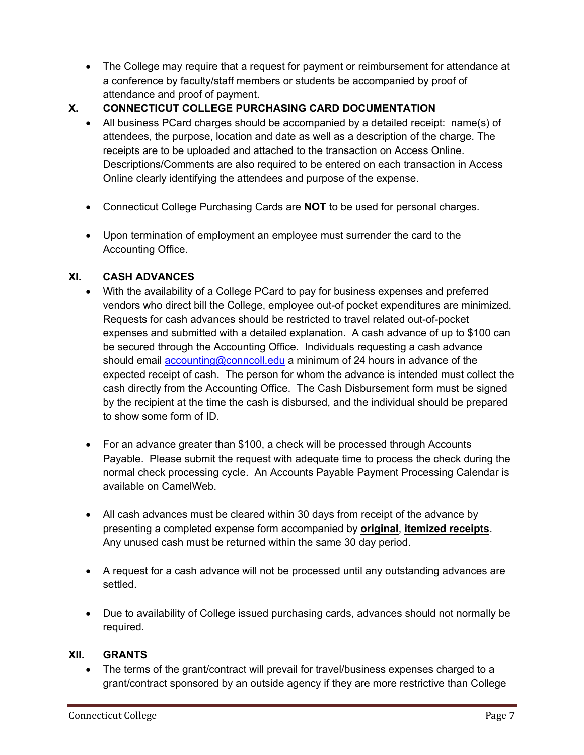- The College may require that a request for payment or reimbursement for attendance at a conference by faculty/staff members or students be accompanied by proof of attendance and proof of payment.
- **X. CONNECTICUT COLLEGE PURCHASING CARD DOCUMENTATION** 
	- All business PCard charges should be accompanied by a detailed receipt: name(s) of attendees, the purpose, location and date as well as a description of the charge. The receipts are to be uploaded and attached to the transaction on Access Online. Descriptions/Comments are also required to be entered on each transaction in Access Online clearly identifying the attendees and purpose of the expense.
	- Connecticut College Purchasing Cards are **NOT** to be used for personal charges.
	- Upon termination of employment an employee must surrender the card to the Accounting Office.

## **XI. CASH ADVANCES**

- With the availability of a College PCard to pay for business expenses and preferred vendors who direct bill the College, employee out-of pocket expenditures are minimized. Requests for cash advances should be restricted to travel related out-of-pocket expenses and submitted with a detailed explanation. A cash advance of up to \$100 can be secured through the Accounting Office. Individuals requesting a cash advance should email accounting@conncoll.edu a minimum of 24 hours in advance of the expected receipt of cash. The person for whom the advance is intended must collect the cash directly from the Accounting Office. The Cash Disbursement form must be signed by the recipient at the time the cash is disbursed, and the individual should be prepared to show some form of ID.
- For an advance greater than \$100, a check will be processed through Accounts Payable. Please submit the request with adequate time to process the check during the normal check processing cycle. An Accounts Payable Payment Processing Calendar is available on CamelWeb.
- All cash advances must be cleared within 30 days from receipt of the advance by presenting a completed expense form accompanied by **original**, **itemized receipts**. Any unused cash must be returned within the same 30 day period.
- A request for a cash advance will not be processed until any outstanding advances are settled.
- Due to availability of College issued purchasing cards, advances should not normally be required.

#### **XII. GRANTS**

 The terms of the grant/contract will prevail for travel/business expenses charged to a grant/contract sponsored by an outside agency if they are more restrictive than College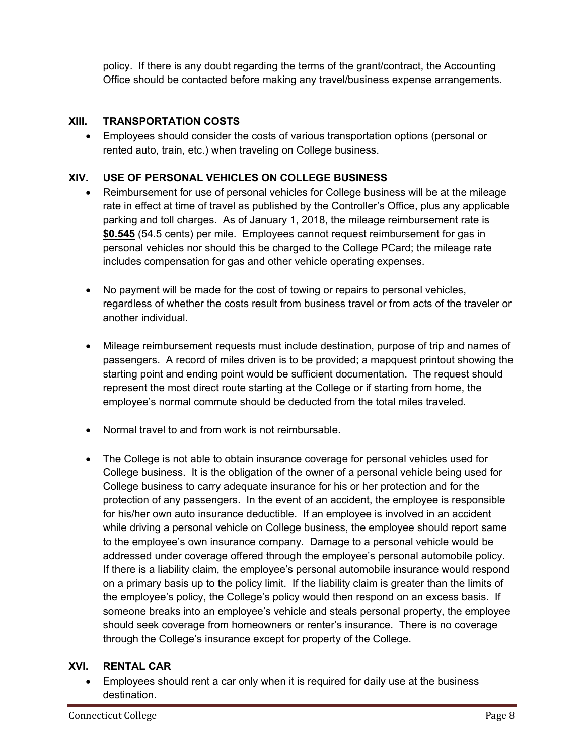policy. If there is any doubt regarding the terms of the grant/contract, the Accounting Office should be contacted before making any travel/business expense arrangements.

### **XIII. TRANSPORTATION COSTS**

 Employees should consider the costs of various transportation options (personal or rented auto, train, etc.) when traveling on College business.

## **XIV. USE OF PERSONAL VEHICLES ON COLLEGE BUSINESS**

- Reimbursement for use of personal vehicles for College business will be at the mileage rate in effect at time of travel as published by the Controller's Office, plus any applicable parking and toll charges. As of January 1, 2018, the mileage reimbursement rate is **\$0.545** (54.5 cents) per mile. Employees cannot request reimbursement for gas in personal vehicles nor should this be charged to the College PCard; the mileage rate includes compensation for gas and other vehicle operating expenses.
- No payment will be made for the cost of towing or repairs to personal vehicles, regardless of whether the costs result from business travel or from acts of the traveler or another individual.
- Mileage reimbursement requests must include destination, purpose of trip and names of passengers. A record of miles driven is to be provided; a mapquest printout showing the starting point and ending point would be sufficient documentation. The request should represent the most direct route starting at the College or if starting from home, the employee's normal commute should be deducted from the total miles traveled.
- Normal travel to and from work is not reimbursable.
- The College is not able to obtain insurance coverage for personal vehicles used for College business. It is the obligation of the owner of a personal vehicle being used for College business to carry adequate insurance for his or her protection and for the protection of any passengers. In the event of an accident, the employee is responsible for his/her own auto insurance deductible. If an employee is involved in an accident while driving a personal vehicle on College business, the employee should report same to the employee's own insurance company. Damage to a personal vehicle would be addressed under coverage offered through the employee's personal automobile policy. If there is a liability claim, the employee's personal automobile insurance would respond on a primary basis up to the policy limit. If the liability claim is greater than the limits of the employee's policy, the College's policy would then respond on an excess basis. If someone breaks into an employee's vehicle and steals personal property, the employee should seek coverage from homeowners or renter's insurance. There is no coverage through the College's insurance except for property of the College.

#### **XVI. RENTAL CAR**

 Employees should rent a car only when it is required for daily use at the business destination.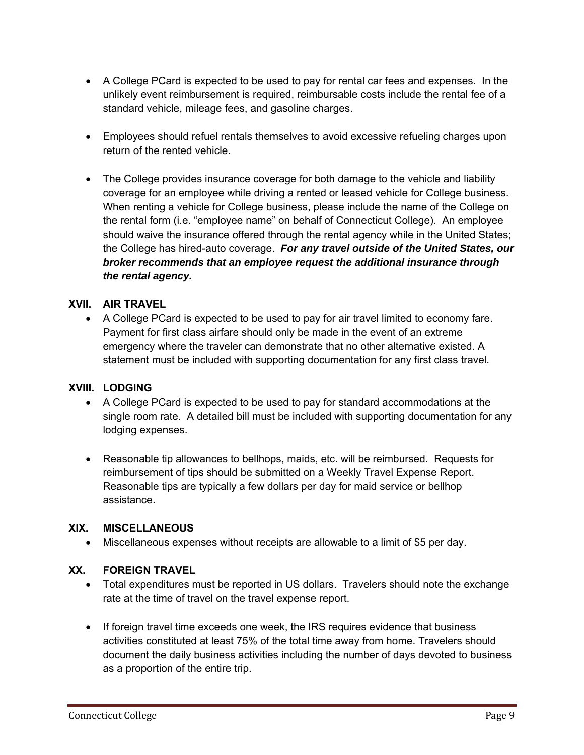- A College PCard is expected to be used to pay for rental car fees and expenses. In the unlikely event reimbursement is required, reimbursable costs include the rental fee of a standard vehicle, mileage fees, and gasoline charges.
- Employees should refuel rentals themselves to avoid excessive refueling charges upon return of the rented vehicle.
- The College provides insurance coverage for both damage to the vehicle and liability coverage for an employee while driving a rented or leased vehicle for College business. When renting a vehicle for College business, please include the name of the College on the rental form (i.e. "employee name" on behalf of Connecticut College). An employee should waive the insurance offered through the rental agency while in the United States; the College has hired-auto coverage. *For any travel outside of the United States, our broker recommends that an employee request the additional insurance through the rental agency.*

#### **XVII. AIR TRAVEL**

 A College PCard is expected to be used to pay for air travel limited to economy fare. Payment for first class airfare should only be made in the event of an extreme emergency where the traveler can demonstrate that no other alternative existed. A statement must be included with supporting documentation for any first class travel.

#### **XVIII. LODGING**

- A College PCard is expected to be used to pay for standard accommodations at the single room rate. A detailed bill must be included with supporting documentation for any lodging expenses.
- Reasonable tip allowances to bellhops, maids, etc. will be reimbursed. Requests for reimbursement of tips should be submitted on a Weekly Travel Expense Report. Reasonable tips are typically a few dollars per day for maid service or bellhop assistance.

#### **XIX. MISCELLANEOUS**

Miscellaneous expenses without receipts are allowable to a limit of \$5 per day.

#### **XX. FOREIGN TRAVEL**

- Total expenditures must be reported in US dollars. Travelers should note the exchange rate at the time of travel on the travel expense report.
- If foreign travel time exceeds one week, the IRS requires evidence that business activities constituted at least 75% of the total time away from home. Travelers should document the daily business activities including the number of days devoted to business as a proportion of the entire trip.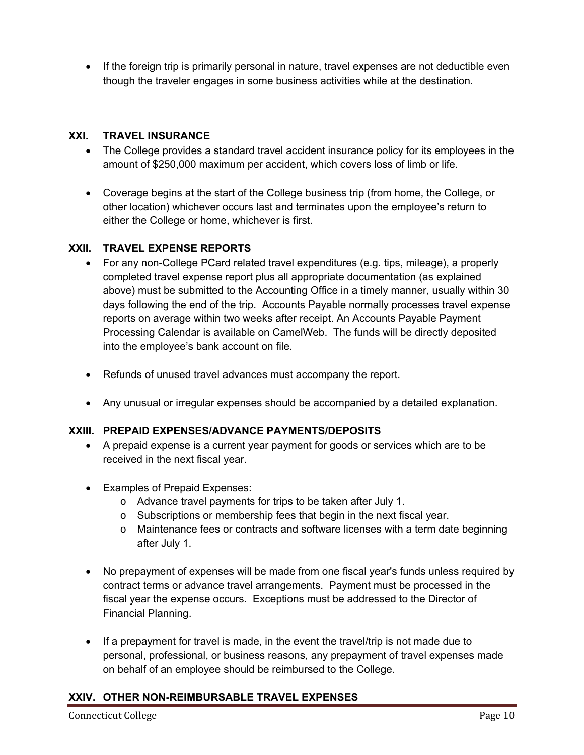• If the foreign trip is primarily personal in nature, travel expenses are not deductible even though the traveler engages in some business activities while at the destination.

#### **XXI. TRAVEL INSURANCE**

- The College provides a standard travel accident insurance policy for its employees in the amount of \$250,000 maximum per accident, which covers loss of limb or life.
- Coverage begins at the start of the College business trip (from home, the College, or other location) whichever occurs last and terminates upon the employee's return to either the College or home, whichever is first.

## **XXII. TRAVEL EXPENSE REPORTS**

- For any non-College PCard related travel expenditures (e.g. tips, mileage), a properly completed travel expense report plus all appropriate documentation (as explained above) must be submitted to the Accounting Office in a timely manner, usually within 30 days following the end of the trip. Accounts Payable normally processes travel expense reports on average within two weeks after receipt. An Accounts Payable Payment Processing Calendar is available on CamelWeb. The funds will be directly deposited into the employee's bank account on file.
- Refunds of unused travel advances must accompany the report.
- Any unusual or irregular expenses should be accompanied by a detailed explanation.

#### **XXIII. PREPAID EXPENSES/ADVANCE PAYMENTS/DEPOSITS**

- A prepaid expense is a current year payment for goods or services which are to be received in the next fiscal year.
- Examples of Prepaid Expenses:
	- o Advance travel payments for trips to be taken after July 1.
	- o Subscriptions or membership fees that begin in the next fiscal year.
	- o Maintenance fees or contracts and software licenses with a term date beginning after July 1.
- No prepayment of expenses will be made from one fiscal year's funds unless required by contract terms or advance travel arrangements. Payment must be processed in the fiscal year the expense occurs. Exceptions must be addressed to the Director of Financial Planning.
- $\bullet$  If a prepayment for travel is made, in the event the travel/trip is not made due to personal, professional, or business reasons, any prepayment of travel expenses made on behalf of an employee should be reimbursed to the College.

## **XXIV. OTHER NON-REIMBURSABLE TRAVEL EXPENSES**